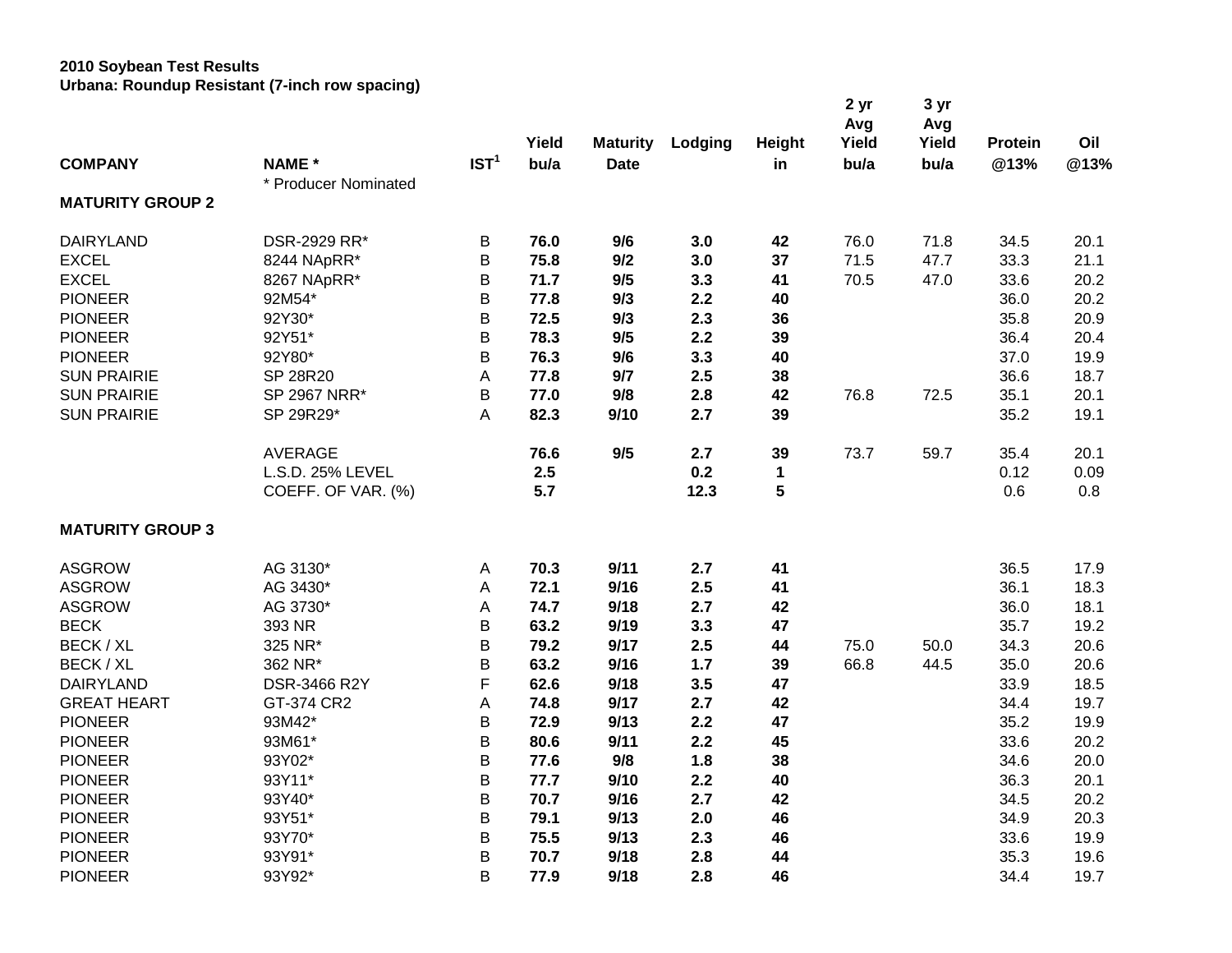## **2010 Soybean Test Results**

**Urbana: Roundup Resistant (7-inch row spacing)**

|                         |                      |                  |       |                 |         |               | 2 yr<br>Avg | 3 yr<br>Avg |         |      |
|-------------------------|----------------------|------------------|-------|-----------------|---------|---------------|-------------|-------------|---------|------|
|                         |                      |                  | Yield | <b>Maturity</b> | Lodging | <b>Height</b> | Yield       | Yield       | Protein | Oil  |
| <b>COMPANY</b>          | <b>NAME*</b>         | IST <sup>1</sup> | bu/a  | <b>Date</b>     |         | in            | bu/a        | bu/a        | @13%    | @13% |
| <b>MATURITY GROUP 2</b> | * Producer Nominated |                  |       |                 |         |               |             |             |         |      |
| <b>DAIRYLAND</b>        | DSR-2929 RR*         | B                | 76.0  | 9/6             | 3.0     | 42            | 76.0        | 71.8        | 34.5    | 20.1 |
| <b>EXCEL</b>            | 8244 NApRR*          | B                | 75.8  | 9/2             | 3.0     | 37            | 71.5        | 47.7        | 33.3    | 21.1 |
| <b>EXCEL</b>            | 8267 NApRR*          | B                | 71.7  | 9/5             | 3.3     | 41            | 70.5        | 47.0        | 33.6    | 20.2 |
| <b>PIONEER</b>          | 92M54*               | B                | 77.8  | 9/3             | 2.2     | 40            |             |             | 36.0    | 20.2 |
| <b>PIONEER</b>          | 92Y30*               | B                | 72.5  | 9/3             | 2.3     | 36            |             |             | 35.8    | 20.9 |
| <b>PIONEER</b>          | 92Y51*               | B                | 78.3  | 9/5             | 2.2     | 39            |             |             | 36.4    | 20.4 |
| <b>PIONEER</b>          | 92Y80*               | B                | 76.3  | 9/6             | 3.3     | 40            |             |             | 37.0    | 19.9 |
| <b>SUN PRAIRIE</b>      | SP 28R20             | А                | 77.8  | 9/7             | 2.5     | 38            |             |             | 36.6    | 18.7 |
| <b>SUN PRAIRIE</b>      | SP 2967 NRR*         | В                | 77.0  | 9/8             | 2.8     | 42            | 76.8        | 72.5        | 35.1    | 20.1 |
| <b>SUN PRAIRIE</b>      | SP 29R29*            | A                | 82.3  | 9/10            | 2.7     | 39            |             |             | 35.2    | 19.1 |
|                         | <b>AVERAGE</b>       |                  | 76.6  | 9/5             | 2.7     | 39            | 73.7        | 59.7        | 35.4    | 20.1 |
|                         | L.S.D. 25% LEVEL     |                  | 2.5   |                 | 0.2     | $\mathbf 1$   |             |             | 0.12    | 0.09 |
|                         | COEFF. OF VAR. (%)   |                  | 5.7   |                 | 12.3    | 5             |             |             | 0.6     | 0.8  |
| <b>MATURITY GROUP 3</b> |                      |                  |       |                 |         |               |             |             |         |      |
| <b>ASGROW</b>           | AG 3130*             | A                | 70.3  | 9/11            | 2.7     | 41            |             |             | 36.5    | 17.9 |
| <b>ASGROW</b>           | AG 3430*             | А                | 72.1  | 9/16            | 2.5     | 41            |             |             | 36.1    | 18.3 |
| <b>ASGROW</b>           | AG 3730*             | Α                | 74.7  | 9/18            | 2.7     | 42            |             |             | 36.0    | 18.1 |
| <b>BECK</b>             | 393 NR               | B                | 63.2  | 9/19            | 3.3     | 47            |             |             | 35.7    | 19.2 |
| BECK / XL               | 325 NR*              | B                | 79.2  | 9/17            | 2.5     | 44            | 75.0        | 50.0        | 34.3    | 20.6 |
| BECK / XL               | 362 NR*              | B                | 63.2  | 9/16            | $1.7$   | 39            | 66.8        | 44.5        | 35.0    | 20.6 |
| <b>DAIRYLAND</b>        | DSR-3466 R2Y         | F                | 62.6  | 9/18            | 3.5     | 47            |             |             | 33.9    | 18.5 |
| <b>GREAT HEART</b>      | GT-374 CR2           | Α                | 74.8  | 9/17            | 2.7     | 42            |             |             | 34.4    | 19.7 |
| <b>PIONEER</b>          | 93M42*               | B                | 72.9  | 9/13            | 2.2     | 47            |             |             | 35.2    | 19.9 |
| <b>PIONEER</b>          | 93M61*               | B                | 80.6  | 9/11            | 2.2     | 45            |             |             | 33.6    | 20.2 |
| <b>PIONEER</b>          | 93Y02*               | B                | 77.6  | 9/8             | 1.8     | 38            |             |             | 34.6    | 20.0 |
| <b>PIONEER</b>          | 93Y11*               | B                | 77.7  | 9/10            | 2.2     | 40            |             |             | 36.3    | 20.1 |
| <b>PIONEER</b>          | 93Y40*               | B                | 70.7  | 9/16            | 2.7     | 42            |             |             | 34.5    | 20.2 |
| <b>PIONEER</b>          | 93Y51*               | B                | 79.1  | 9/13            | 2.0     | 46            |             |             | 34.9    | 20.3 |
| <b>PIONEER</b>          | 93Y70*               | B                | 75.5  | 9/13            | 2.3     | 46            |             |             | 33.6    | 19.9 |
| <b>PIONEER</b>          | 93Y91*               | B                | 70.7  | 9/18            | 2.8     | 44            |             |             | 35.3    | 19.6 |
| <b>PIONEER</b>          | 93Y92*               | B                | 77.9  | 9/18            | 2.8     | 46            |             |             | 34.4    | 19.7 |